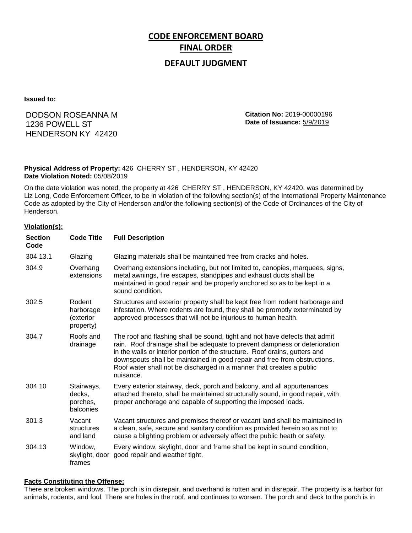# **CODE ENFORCEMENT BOARD FINAL ORDER**

## **DEFAULT JUDGMENT**

**Issued to:**

## DODSON ROSEANNA M 1236 POWELL ST HENDERSON KY 42420

**Citation No:** 2019-00000196 **Date of Issuance:** 5/9/2019

#### **Physical Address of Property:** 426 CHERRY ST , HENDERSON, KY 42420 **Date Violation Noted:** 05/08/2019

On the date violation was noted, the property at 426 CHERRY ST , HENDERSON, KY 42420. was determined by Liz Long, Code Enforcement Officer, to be in violation of the following section(s) of the International Property Maintenance Code as adopted by the City of Henderson and/or the following section(s) of the Code of Ordinances of the City of Henderson.

#### **Violation(s):**

| <b>Section</b><br>Code | <b>Code Title</b>                             | <b>Full Description</b>                                                                                                                                                                                                                                                                                                                                                                                    |
|------------------------|-----------------------------------------------|------------------------------------------------------------------------------------------------------------------------------------------------------------------------------------------------------------------------------------------------------------------------------------------------------------------------------------------------------------------------------------------------------------|
| 304.13.1               | Glazing                                       | Glazing materials shall be maintained free from cracks and holes.                                                                                                                                                                                                                                                                                                                                          |
| 304.9                  | Overhang<br>extensions                        | Overhang extensions including, but not limited to, canopies, marquees, signs,<br>metal awnings, fire escapes, standpipes and exhaust ducts shall be<br>maintained in good repair and be properly anchored so as to be kept in a<br>sound condition.                                                                                                                                                        |
| 302.5                  | Rodent<br>harborage<br>(exterior<br>property) | Structures and exterior property shall be kept free from rodent harborage and<br>infestation. Where rodents are found, they shall be promptly exterminated by<br>approved processes that will not be injurious to human health.                                                                                                                                                                            |
| 304.7                  | Roofs and<br>drainage                         | The roof and flashing shall be sound, tight and not have defects that admit<br>rain. Roof drainage shall be adequate to prevent dampness or deterioration<br>in the walls or interior portion of the structure. Roof drains, gutters and<br>downspouts shall be maintained in good repair and free from obstructions.<br>Roof water shall not be discharged in a manner that creates a public<br>nuisance. |
| 304.10                 | Stairways,<br>decks,<br>porches,<br>balconies | Every exterior stairway, deck, porch and balcony, and all appurtenances<br>attached thereto, shall be maintained structurally sound, in good repair, with<br>proper anchorage and capable of supporting the imposed loads.                                                                                                                                                                                 |
| 301.3                  | Vacant<br>structures<br>and land              | Vacant structures and premises thereof or vacant land shall be maintained in<br>a clean, safe, secure and sanitary condition as provided herein so as not to<br>cause a blighting problem or adversely affect the public heath or safety.                                                                                                                                                                  |
| 304.13                 | Window,<br>skylight, door<br>frames           | Every window, skylight, door and frame shall be kept in sound condition,<br>good repair and weather tight.                                                                                                                                                                                                                                                                                                 |

#### **Facts Constituting the Offense:**

There are broken windows. The porch is in disrepair, and overhand is rotten and in disrepair. The property is a harbor for animals, rodents, and foul. There are holes in the roof, and continues to worsen. The porch and deck to the porch is in